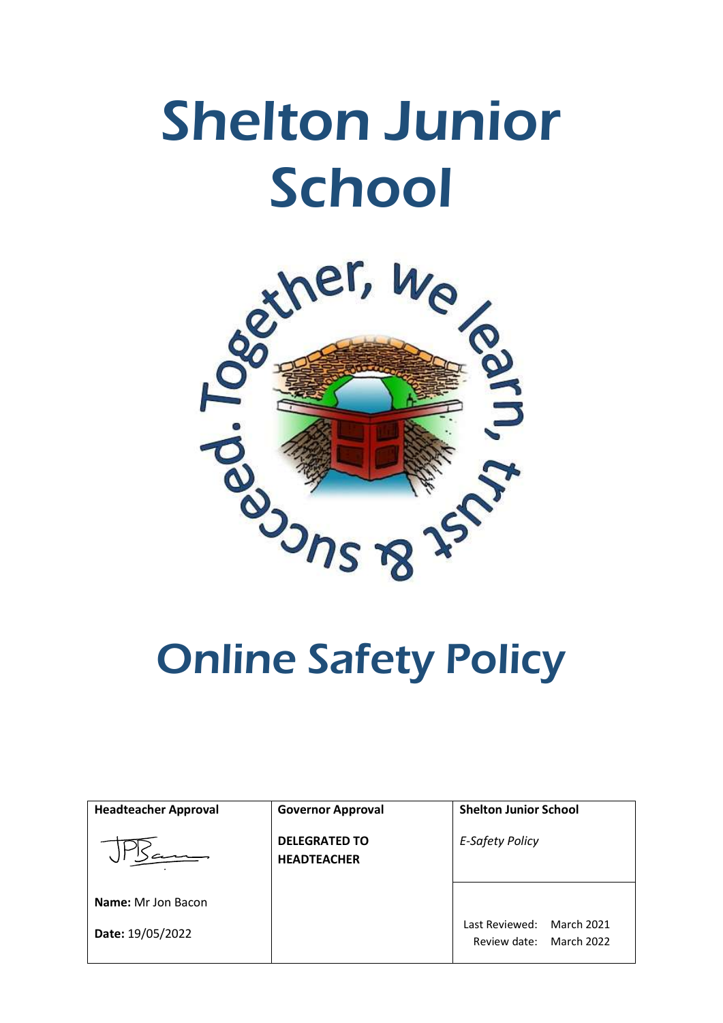

| <b>Headteacher Approval</b> | <b>Governor Approval</b>                   | <b>Shelton Junior School</b>                               |
|-----------------------------|--------------------------------------------|------------------------------------------------------------|
|                             | <b>DELEGRATED TO</b><br><b>HEADTEACHER</b> | <b>E-Safety Policy</b>                                     |
| <b>Name:</b> Mr Jon Bacon   |                                            |                                                            |
| Date: 19/05/2022            |                                            | March 2021<br>Last Reviewed:<br>March 2022<br>Review date: |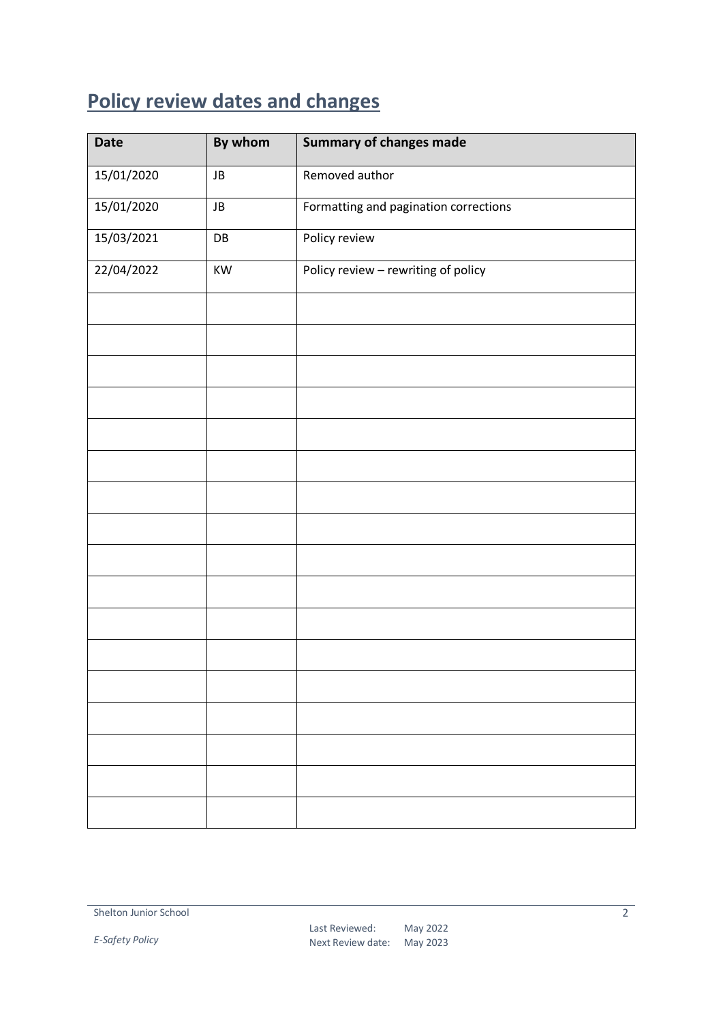## <span id="page-1-0"></span>**Policy review dates and changes**

| <b>Date</b> | By whom                | <b>Summary of changes made</b>        |
|-------------|------------------------|---------------------------------------|
| 15/01/2020  | JB                     | Removed author                        |
| 15/01/2020  | JB                     | Formatting and pagination corrections |
| 15/03/2021  | $\mathsf{D}\mathsf{B}$ | Policy review                         |
| 22/04/2022  | KW                     | Policy review - rewriting of policy   |
|             |                        |                                       |
|             |                        |                                       |
|             |                        |                                       |
|             |                        |                                       |
|             |                        |                                       |
|             |                        |                                       |
|             |                        |                                       |
|             |                        |                                       |
|             |                        |                                       |
|             |                        |                                       |
|             |                        |                                       |
|             |                        |                                       |
|             |                        |                                       |
|             |                        |                                       |
|             |                        |                                       |
|             |                        |                                       |
|             |                        |                                       |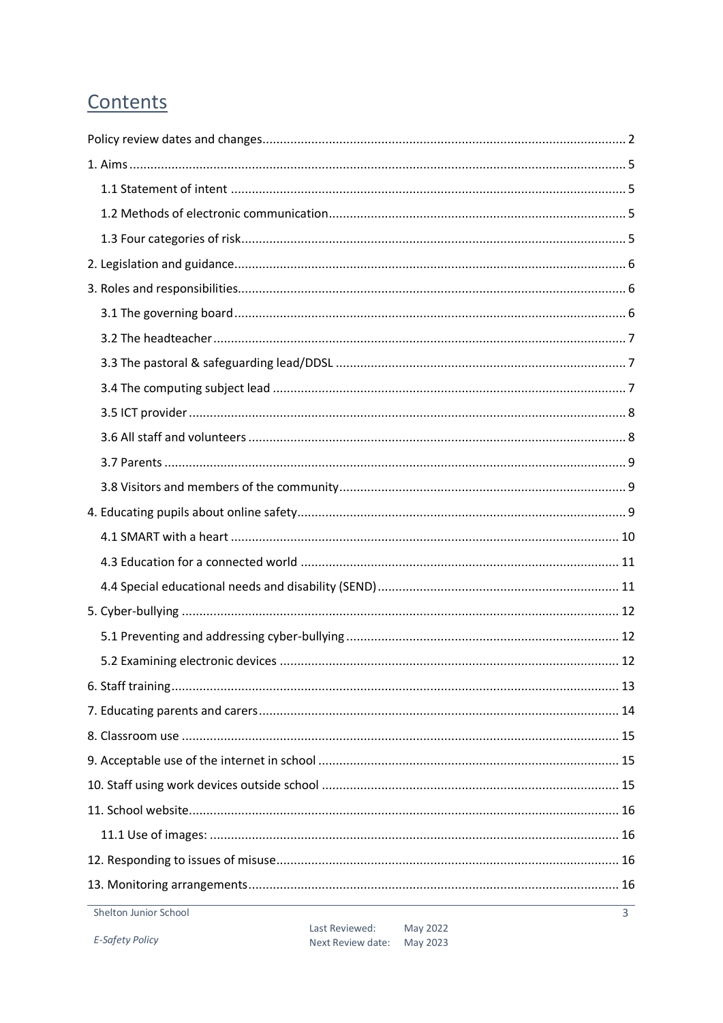## Contents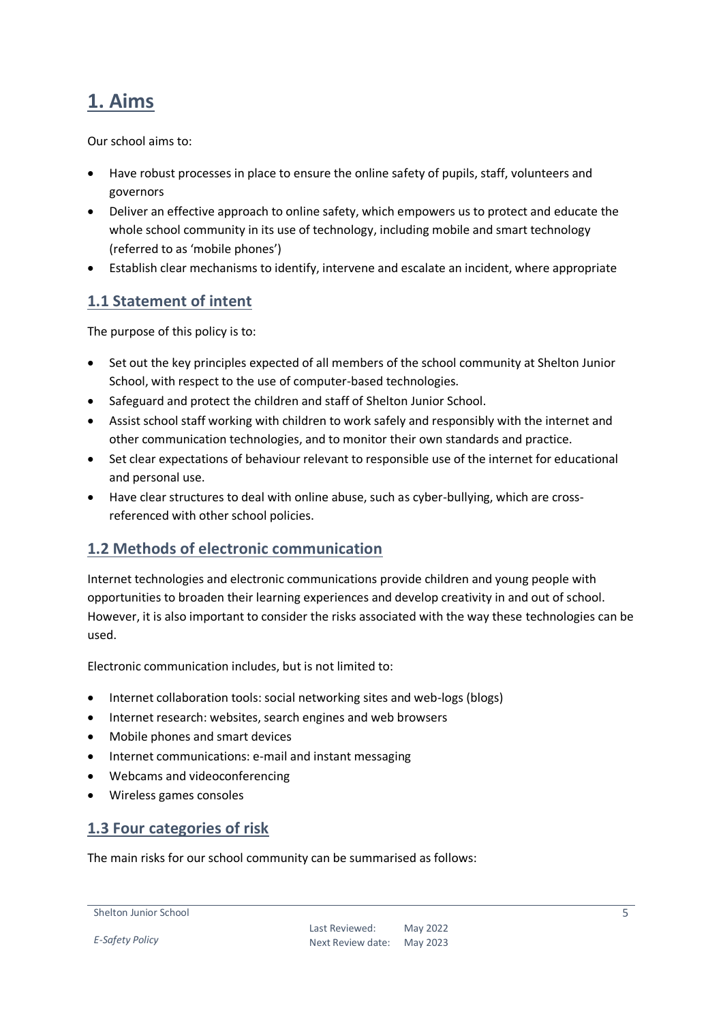## <span id="page-4-0"></span>**1. Aims**

Our school aims to:

- Have robust processes in place to ensure the online safety of pupils, staff, volunteers and governors
- Deliver an effective approach to online safety, which empowers us to protect and educate the whole school community in its use of technology, including mobile and smart technology (referred to as 'mobile phones')
- Establish clear mechanisms to identify, intervene and escalate an incident, where appropriate

#### <span id="page-4-1"></span>**1.1 Statement of intent**

The purpose of this policy is to:

- Set out the key principles expected of all members of the school community at Shelton Junior School, with respect to the use of computer-based technologies.
- Safeguard and protect the children and staff of Shelton Junior School.
- Assist school staff working with children to work safely and responsibly with the internet and other communication technologies, and to monitor their own standards and practice.
- Set clear expectations of behaviour relevant to responsible use of the internet for educational and personal use.
- Have clear structures to deal with online abuse, such as cyber-bullying, which are crossreferenced with other school policies.

#### <span id="page-4-2"></span>**1.2 Methods of electronic communication**

Internet technologies and electronic communications provide children and young people with opportunities to broaden their learning experiences and develop creativity in and out of school. However, it is also important to consider the risks associated with the way these technologies can be used.

Electronic communication includes, but is not limited to:

- Internet collaboration tools: social networking sites and web-logs (blogs)
- Internet research: websites, search engines and web browsers
- Mobile phones and smart devices
- Internet communications: e-mail and instant messaging
- Webcams and videoconferencing
- Wireless games consoles

#### <span id="page-4-3"></span>**1.3 Four categories of risk**

The main risks for our school community can be summarised as follows:

```
Shelton Junior School
```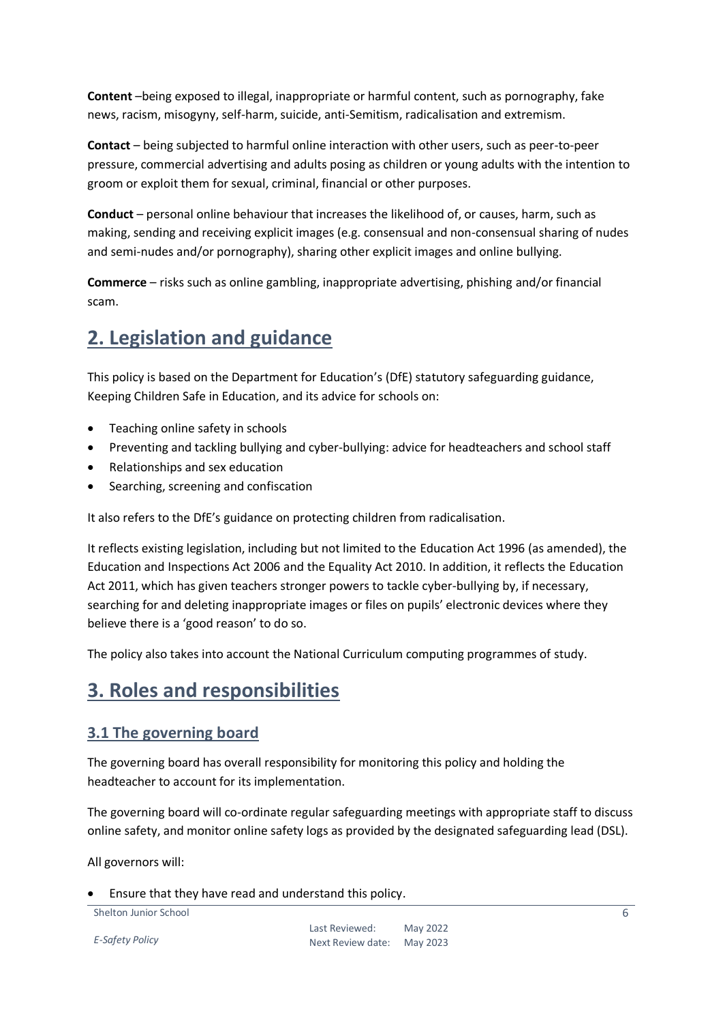**Content** –being exposed to illegal, inappropriate or harmful content, such as pornography, fake news, racism, misogyny, self-harm, suicide, anti-Semitism, radicalisation and extremism.

**Contact** – being subjected to harmful online interaction with other users, such as peer-to-peer pressure, commercial advertising and adults posing as children or young adults with the intention to groom or exploit them for sexual, criminal, financial or other purposes.

**Conduct** – personal online behaviour that increases the likelihood of, or causes, harm, such as making, sending and receiving explicit images (e.g. consensual and non-consensual sharing of nudes and semi-nudes and/or pornography), sharing other explicit images and online bullying.

**Commerce** – risks such as online gambling, inappropriate advertising, phishing and/or financial scam.

## <span id="page-5-0"></span>**2. Legislation and guidance**

This policy is based on the Department for Education's (DfE) statutory safeguarding guidance, Keeping Children Safe in Education, and its advice for schools on:

- Teaching online safety in schools
- Preventing and tackling bullying and cyber-bullying: advice for headteachers and school staff
- Relationships and sex education
- Searching, screening and confiscation

It also refers to the DfE's guidance on protecting children from radicalisation.

It reflects existing legislation, including but not limited to the Education Act 1996 (as amended), the Education and Inspections Act 2006 and the Equality Act 2010. In addition, it reflects the Education Act 2011, which has given teachers stronger powers to tackle cyber-bullying by, if necessary, searching for and deleting inappropriate images or files on pupils' electronic devices where they believe there is a 'good reason' to do so.

The policy also takes into account the National Curriculum computing programmes of study.

## <span id="page-5-1"></span>**3. Roles and responsibilities**

#### <span id="page-5-2"></span>**3.1 The governing board**

The governing board has overall responsibility for monitoring this policy and holding the headteacher to account for its implementation.

The governing board will co-ordinate regular safeguarding meetings with appropriate staff to discuss online safety, and monitor online safety logs as provided by the designated safeguarding lead (DSL).

All governors will:

Ensure that they have read and understand this policy.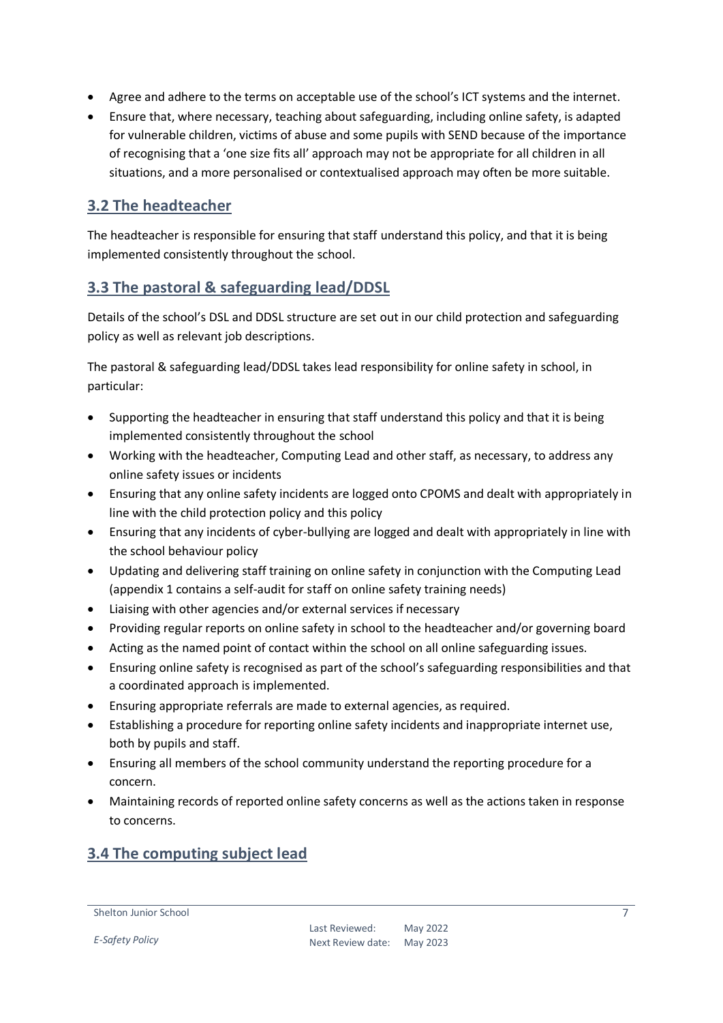- Agree and adhere to the terms on acceptable use of the school's ICT systems and the internet.
- Ensure that, where necessary, teaching about safeguarding, including online safety, is adapted for vulnerable children, victims of abuse and some pupils with SEND because of the importance of recognising that a 'one size fits all' approach may not be appropriate for all children in all situations, and a more personalised or contextualised approach may often be more suitable.

#### <span id="page-6-0"></span>**3.2 The headteacher**

The headteacher is responsible for ensuring that staff understand this policy, and that it is being implemented consistently throughout the school.

#### <span id="page-6-1"></span>**3.3 The pastoral & safeguarding lead/DDSL**

Details of the school's DSL and DDSL structure are set out in our child protection and safeguarding policy as well as relevant job descriptions.

The pastoral & safeguarding lead/DDSL takes lead responsibility for online safety in school, in particular:

- Supporting the headteacher in ensuring that staff understand this policy and that it is being implemented consistently throughout the school
- Working with the headteacher, Computing Lead and other staff, as necessary, to address any online safety issues or incidents
- Ensuring that any online safety incidents are logged onto CPOMS and dealt with appropriately in line with the child protection policy and this policy
- Ensuring that any incidents of cyber-bullying are logged and dealt with appropriately in line with the school behaviour policy
- Updating and delivering staff training on online safety in conjunction with the Computing Lead (appendix 1 contains a self-audit for staff on online safety training needs)
- Liaising with other agencies and/or external services if necessary
- Providing regular reports on online safety in school to the headteacher and/or governing board
- Acting as the named point of contact within the school on all online safeguarding issues.
- Ensuring online safety is recognised as part of the school's safeguarding responsibilities and that a coordinated approach is implemented.
- Ensuring appropriate referrals are made to external agencies, as required.
- Establishing a procedure for reporting online safety incidents and inappropriate internet use, both by pupils and staff.
- Ensuring all members of the school community understand the reporting procedure for a concern.
- Maintaining records of reported online safety concerns as well as the actions taken in response to concerns.

#### <span id="page-6-2"></span>**3.4 The computing subject lead**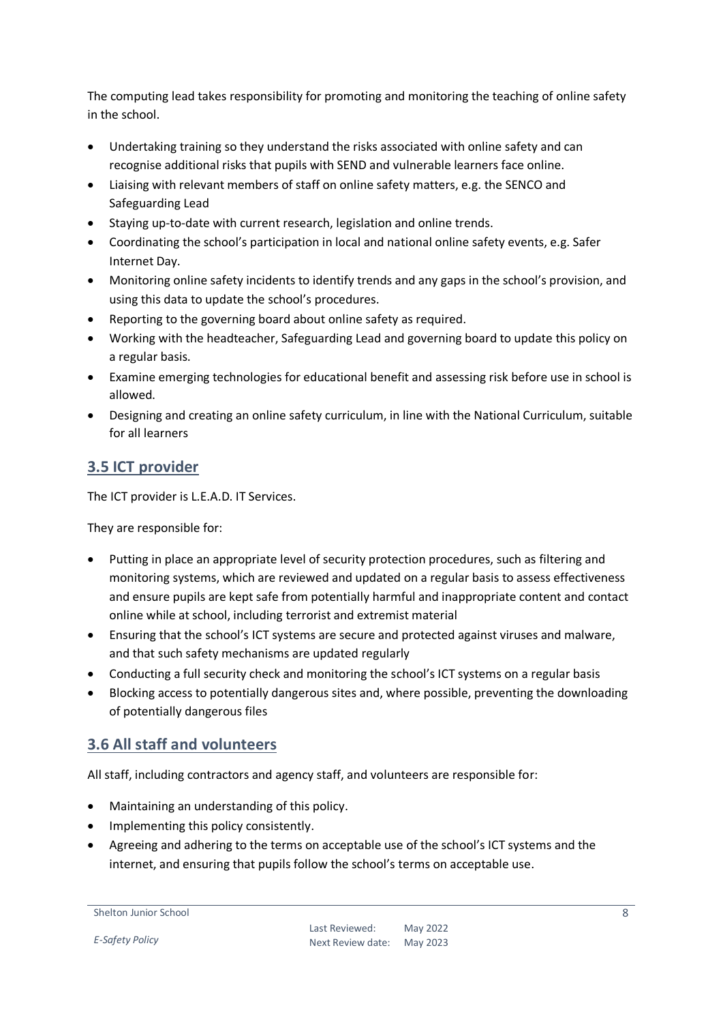The computing lead takes responsibility for promoting and monitoring the teaching of online safety in the school.

- Undertaking training so they understand the risks associated with online safety and can recognise additional risks that pupils with SEND and vulnerable learners face online.
- Liaising with relevant members of staff on online safety matters, e.g. the SENCO and Safeguarding Lead
- Staying up-to-date with current research, legislation and online trends.
- Coordinating the school's participation in local and national online safety events, e.g. Safer Internet Day.
- Monitoring online safety incidents to identify trends and any gaps in the school's provision, and using this data to update the school's procedures.
- Reporting to the governing board about online safety as required.
- Working with the headteacher, Safeguarding Lead and governing board to update this policy on a regular basis.
- Examine emerging technologies for educational benefit and assessing risk before use in school is allowed.
- Designing and creating an online safety curriculum, in line with the National Curriculum, suitable for all learners

#### <span id="page-7-0"></span>**3.5 ICT provider**

The ICT provider is L.E.A.D. IT Services.

They are responsible for:

- Putting in place an appropriate level of security protection procedures, such as filtering and monitoring systems, which are reviewed and updated on a regular basis to assess effectiveness and ensure pupils are kept safe from potentially harmful and inappropriate content and contact online while at school, including terrorist and extremist material
- Ensuring that the school's ICT systems are secure and protected against viruses and malware, and that such safety mechanisms are updated regularly
- Conducting a full security check and monitoring the school's ICT systems on a regular basis
- Blocking access to potentially dangerous sites and, where possible, preventing the downloading of potentially dangerous files

#### <span id="page-7-1"></span>**3.6 All staff and volunteers**

All staff, including contractors and agency staff, and volunteers are responsible for:

- Maintaining an understanding of this policy.
- Implementing this policy consistently.
- Agreeing and adhering to the terms on acceptable use of the school's ICT systems and the internet, and ensuring that pupils follow the school's terms on acceptable use.

*E-Safety Policy*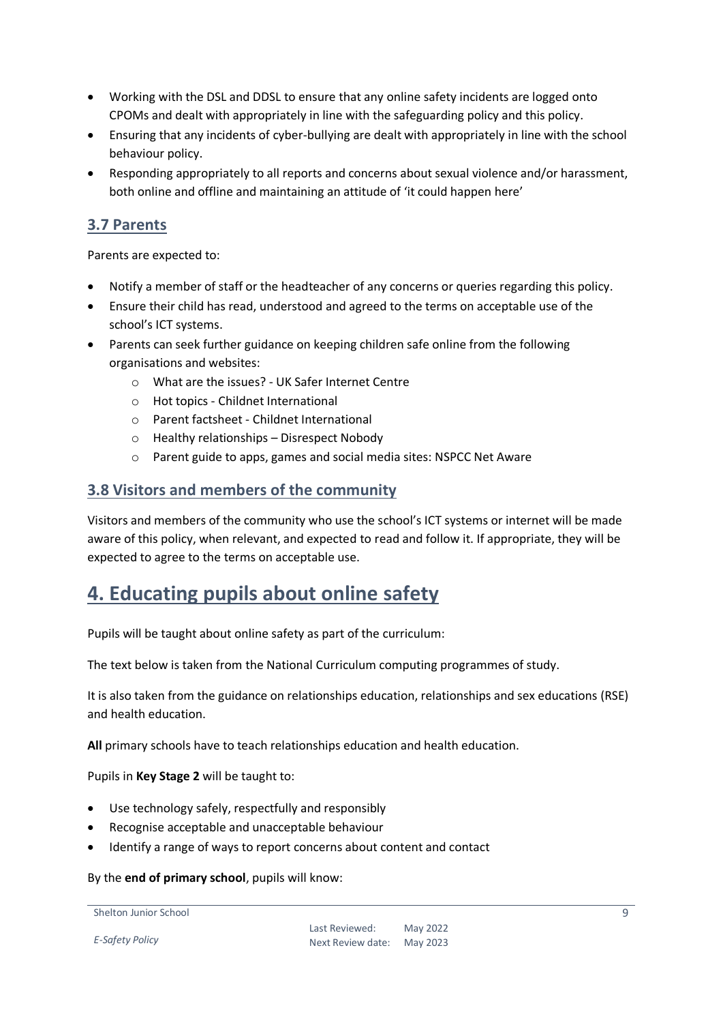- Working with the DSL and DDSL to ensure that any online safety incidents are logged onto CPOMs and dealt with appropriately in line with the safeguarding policy and this policy.
- Ensuring that any incidents of cyber-bullying are dealt with appropriately in line with the school behaviour policy.
- Responding appropriately to all reports and concerns about sexual violence and/or harassment, both online and offline and maintaining an attitude of 'it could happen here'

#### <span id="page-8-0"></span>**3.7 Parents**

Parents are expected to:

- Notify a member of staff or the headteacher of any concerns or queries regarding this policy.
- Ensure their child has read, understood and agreed to the terms on acceptable use of the school's ICT systems.
- Parents can seek further guidance on keeping children safe online from the following organisations and websites:
	- o What are the issues? UK Safer Internet Centre
	- o Hot topics Childnet International
	- o Parent factsheet Childnet International
	- o Healthy relationships Disrespect Nobody
	- o Parent guide to apps, games and social media sites: NSPCC Net Aware

#### <span id="page-8-1"></span>**3.8 Visitors and members of the community**

Visitors and members of the community who use the school's ICT systems or internet will be made aware of this policy, when relevant, and expected to read and follow it. If appropriate, they will be expected to agree to the terms on acceptable use.

## <span id="page-8-2"></span>**4. Educating pupils about online safety**

Pupils will be taught about online safety as part of the curriculum:

The text below is taken from the National Curriculum computing programmes of study.

It is also taken from the guidance on relationships education, relationships and sex educations (RSE) and health education.

**All** primary schools have to teach relationships education and health education.

Pupils in **Key Stage 2** will be taught to:

- Use technology safely, respectfully and responsibly
- Recognise acceptable and unacceptable behaviour
- Identify a range of ways to report concerns about content and contact

By the **end of primary school**, pupils will know:

Shelton Junior School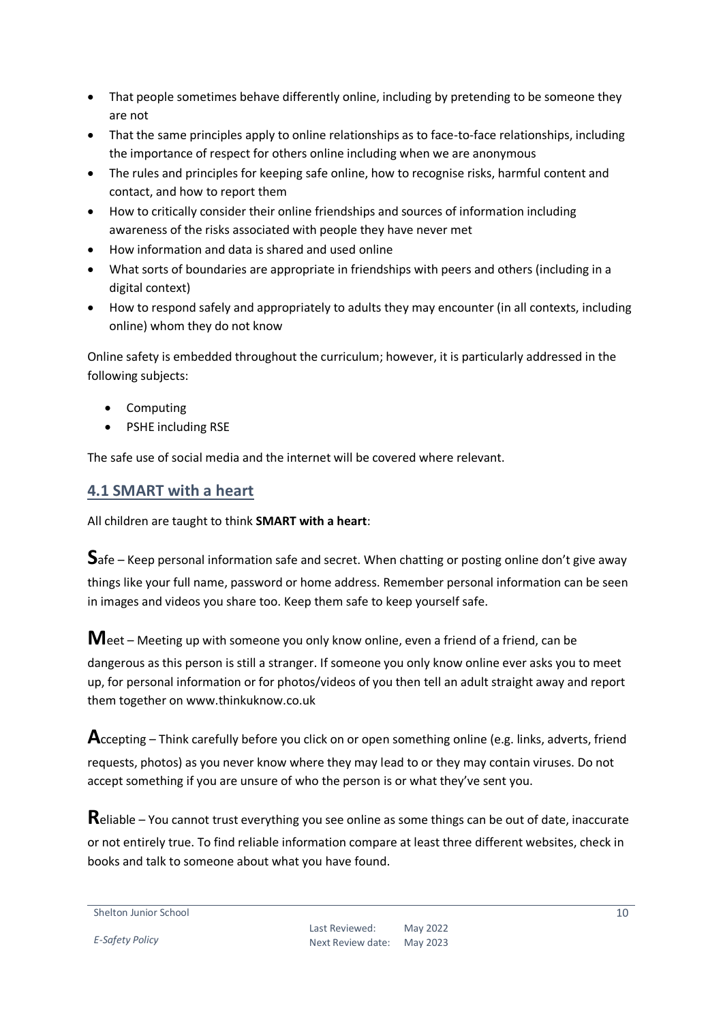- That people sometimes behave differently online, including by pretending to be someone they are not
- That the same principles apply to online relationships as to face-to-face relationships, including the importance of respect for others online including when we are anonymous
- The rules and principles for keeping safe online, how to recognise risks, harmful content and contact, and how to report them
- How to critically consider their online friendships and sources of information including awareness of the risks associated with people they have never met
- How information and data is shared and used online
- What sorts of boundaries are appropriate in friendships with peers and others (including in a digital context)
- How to respond safely and appropriately to adults they may encounter (in all contexts, including online) whom they do not know

Online safety is embedded throughout the curriculum; however, it is particularly addressed in the following subjects:

- Computing
- PSHE including RSE

The safe use of social media and the internet will be covered where relevant.

#### <span id="page-9-0"></span>**4.1 SMART with a heart**

All children are taught to think **SMART with a heart**:

**S**afe – Keep personal information safe and secret. When chatting or posting online don't give away things like your full name, password or home address. Remember personal information can be seen in images and videos you share too. Keep them safe to keep yourself safe.

**M**eet – Meeting up with someone you only know online, even a friend of a friend, can be dangerous as this person is still a stranger. If someone you only know online ever asks you to meet up, for personal information or for photos/videos of you then tell an adult straight away and report them together on www.thinkuknow.co.uk

**A**ccepting – Think carefully before you click on or open something online (e.g. links, adverts, friend requests, photos) as you never know where they may lead to or they may contain viruses. Do not accept something if you are unsure of who the person is or what they've sent you.

**R**eliable – You cannot trust everything you see online as some things can be out of date, inaccurate or not entirely true. To find reliable information compare at least three different websites, check in books and talk to someone about what you have found.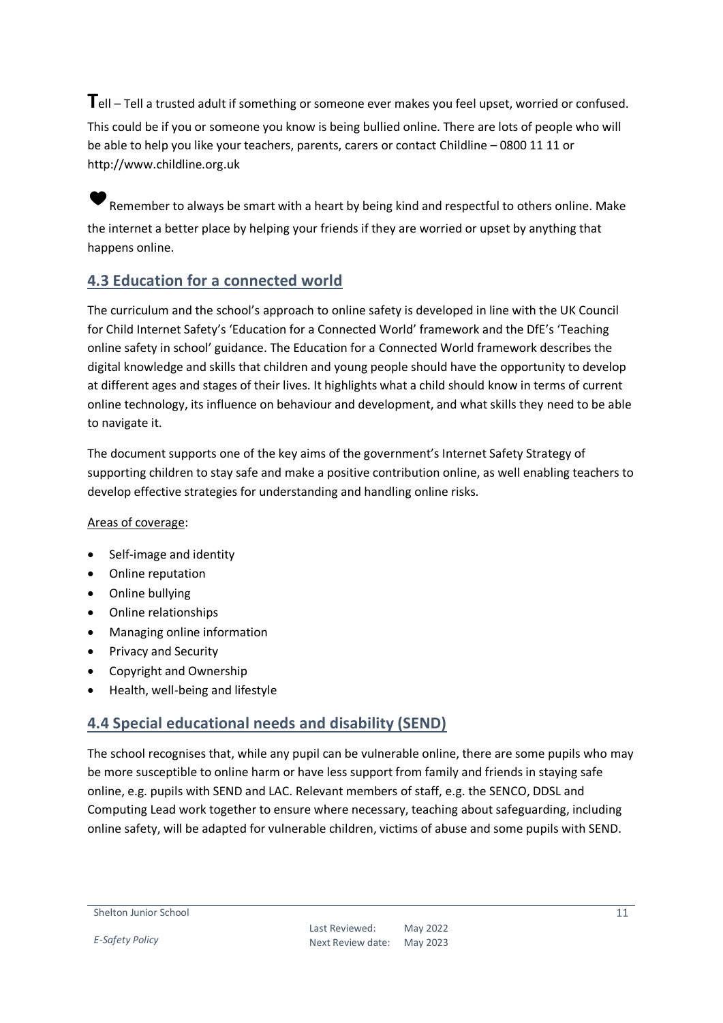**T**ell – Tell a trusted adult if something or someone ever makes you feel upset, worried or confused. This could be if you or someone you know is being bullied online. There are lots of people who will be able to help you like your teachers, parents, carers or contact Childline – 0800 11 11 or http://www.childline.org.uk

Remember to always be smart with a heart by being kind and respectful to others online. Make the internet a better place by helping your friends if they are worried or upset by anything that happens online.

#### <span id="page-10-0"></span>**4.3 Education for a connected world**

The curriculum and the school's approach to online safety is developed in line with the UK Council for Child Internet Safety's 'Education for a Connected World' framework and the DfE's 'Teaching online safety in school' guidance. The Education for a Connected World framework describes the digital knowledge and skills that children and young people should have the opportunity to develop at different ages and stages of their lives. It highlights what a child should know in terms of current online technology, its influence on behaviour and development, and what skills they need to be able to navigate it.

The document supports one of the key aims of the government's Internet Safety Strategy of supporting children to stay safe and make a positive contribution online, as well enabling teachers to develop effective strategies for understanding and handling online risks.

#### Areas of coverage:

- Self-image and identity
- Online reputation
- Online bullying
- Online relationships
- Managing online information
- Privacy and Security
- Copyright and Ownership
- Health, well-being and lifestyle

#### <span id="page-10-1"></span>**4.4 Special educational needs and disability (SEND)**

The school recognises that, while any pupil can be vulnerable online, there are some pupils who may be more susceptible to online harm or have less support from family and friends in staying safe online, e.g. pupils with SEND and LAC. Relevant members of staff, e.g. the SENCO, DDSL and Computing Lead work together to ensure where necessary, teaching about safeguarding, including online safety, will be adapted for vulnerable children, victims of abuse and some pupils with SEND.

*E-Safety Policy*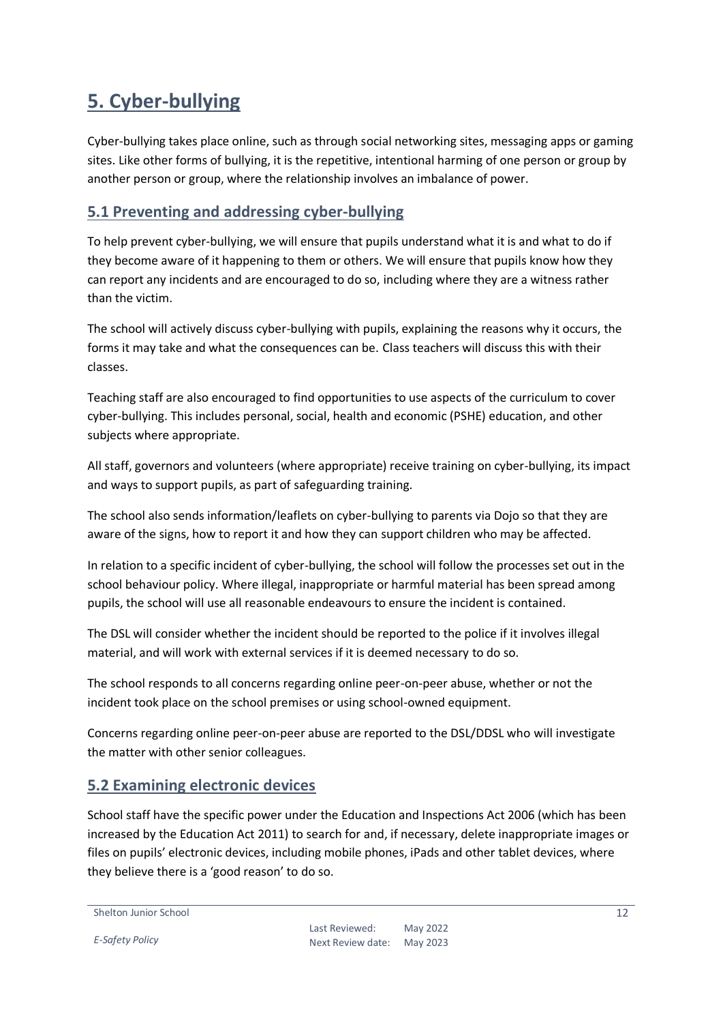## <span id="page-11-0"></span>**5. Cyber-bullying**

Cyber-bullying takes place online, such as through social networking sites, messaging apps or gaming sites. Like other forms of bullying, it is the repetitive, intentional harming of one person or group by another person or group, where the relationship involves an imbalance of power.

#### <span id="page-11-1"></span>**5.1 Preventing and addressing cyber-bullying**

To help prevent cyber-bullying, we will ensure that pupils understand what it is and what to do if they become aware of it happening to them or others. We will ensure that pupils know how they can report any incidents and are encouraged to do so, including where they are a witness rather than the victim.

The school will actively discuss cyber-bullying with pupils, explaining the reasons why it occurs, the forms it may take and what the consequences can be. Class teachers will discuss this with their classes.

Teaching staff are also encouraged to find opportunities to use aspects of the curriculum to cover cyber-bullying. This includes personal, social, health and economic (PSHE) education, and other subjects where appropriate.

All staff, governors and volunteers (where appropriate) receive training on cyber-bullying, its impact and ways to support pupils, as part of safeguarding training.

The school also sends information/leaflets on cyber-bullying to parents via Dojo so that they are aware of the signs, how to report it and how they can support children who may be affected.

In relation to a specific incident of cyber-bullying, the school will follow the processes set out in the school behaviour policy. Where illegal, inappropriate or harmful material has been spread among pupils, the school will use all reasonable endeavours to ensure the incident is contained.

The DSL will consider whether the incident should be reported to the police if it involves illegal material, and will work with external services if it is deemed necessary to do so.

The school responds to all concerns regarding online peer-on-peer abuse, whether or not the incident took place on the school premises or using school-owned equipment.

Concerns regarding online peer-on-peer abuse are reported to the DSL/DDSL who will investigate the matter with other senior colleagues.

### <span id="page-11-2"></span>**5.2 Examining electronic devices**

School staff have the specific power under the Education and Inspections Act 2006 (which has been increased by the Education Act 2011) to search for and, if necessary, delete inappropriate images or files on pupils' electronic devices, including mobile phones, iPads and other tablet devices, where they believe there is a 'good reason' to do so.

```
Shelton Junior School
```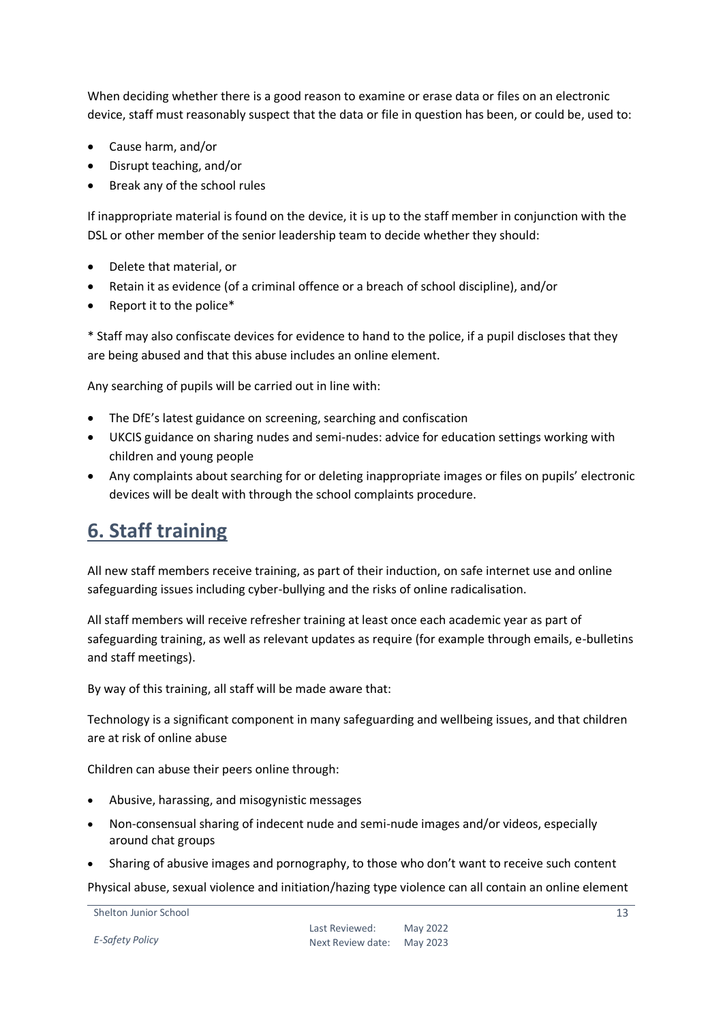When deciding whether there is a good reason to examine or erase data or files on an electronic device, staff must reasonably suspect that the data or file in question has been, or could be, used to:

- Cause harm, and/or
- Disrupt teaching, and/or
- Break any of the school rules

If inappropriate material is found on the device, it is up to the staff member in conjunction with the DSL or other member of the senior leadership team to decide whether they should:

- Delete that material, or
- Retain it as evidence (of a criminal offence or a breach of school discipline), and/or
- Report it to the police\*

\* Staff may also confiscate devices for evidence to hand to the police, if a pupil discloses that they are being abused and that this abuse includes an online element.

Any searching of pupils will be carried out in line with:

- The DfE's latest guidance on screening, searching and confiscation
- UKCIS guidance on sharing nudes and semi-nudes: advice for education settings working with children and young people
- Any complaints about searching for or deleting inappropriate images or files on pupils' electronic devices will be dealt with through the school complaints procedure.

## <span id="page-12-0"></span>**6. Staff training**

All new staff members receive training, as part of their induction, on safe internet use and online safeguarding issues including cyber-bullying and the risks of online radicalisation.

All staff members will receive refresher training at least once each academic year as part of safeguarding training, as well as relevant updates as require (for example through emails, e-bulletins and staff meetings).

By way of this training, all staff will be made aware that:

Technology is a significant component in many safeguarding and wellbeing issues, and that children are at risk of online abuse

Children can abuse their peers online through:

- Abusive, harassing, and misogynistic messages
- Non-consensual sharing of indecent nude and semi-nude images and/or videos, especially around chat groups
- Sharing of abusive images and pornography, to those who don't want to receive such content

Physical abuse, sexual violence and initiation/hazing type violence can all contain an online element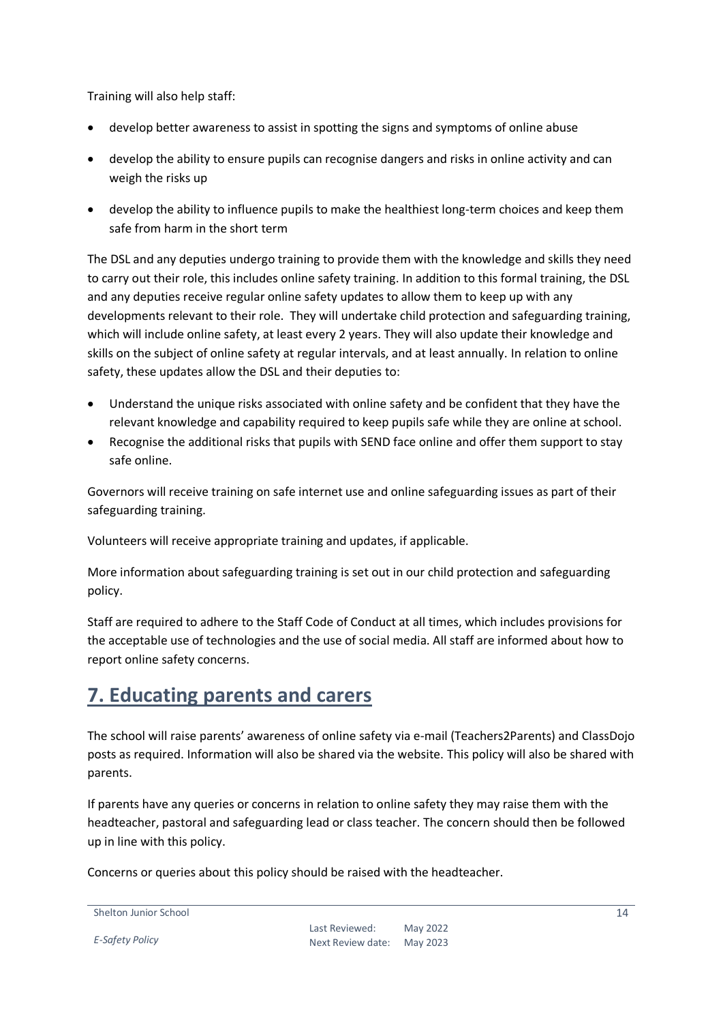Training will also help staff:

- develop better awareness to assist in spotting the signs and symptoms of online abuse
- develop the ability to ensure pupils can recognise dangers and risks in online activity and can weigh the risks up
- develop the ability to influence pupils to make the healthiest long-term choices and keep them safe from harm in the short term

The DSL and any deputies undergo training to provide them with the knowledge and skills they need to carry out their role, this includes online safety training. In addition to this formal training, the DSL and any deputies receive regular online safety updates to allow them to keep up with any developments relevant to their role. They will undertake child protection and safeguarding training, which will include online safety, at least every 2 years. They will also update their knowledge and skills on the subject of online safety at regular intervals, and at least annually. In relation to online safety, these updates allow the DSL and their deputies to:

- Understand the unique risks associated with online safety and be confident that they have the relevant knowledge and capability required to keep pupils safe while they are online at school.
- Recognise the additional risks that pupils with SEND face online and offer them support to stay safe online.

Governors will receive training on safe internet use and online safeguarding issues as part of their safeguarding training.

Volunteers will receive appropriate training and updates, if applicable.

More information about safeguarding training is set out in our child protection and safeguarding policy.

Staff are required to adhere to the Staff Code of Conduct at all times, which includes provisions for the acceptable use of technologies and the use of social media. All staff are informed about how to report online safety concerns.

## <span id="page-13-0"></span>**7. Educating parents and carers**

The school will raise parents' awareness of online safety via e-mail (Teachers2Parents) and ClassDojo posts as required. Information will also be shared via the website. This policy will also be shared with parents.

If parents have any queries or concerns in relation to online safety they may raise them with the headteacher, pastoral and safeguarding lead or class teacher. The concern should then be followed up in line with this policy.

Concerns or queries about this policy should be raised with the headteacher.

```
Shelton Junior School
```
*E-Safety Policy*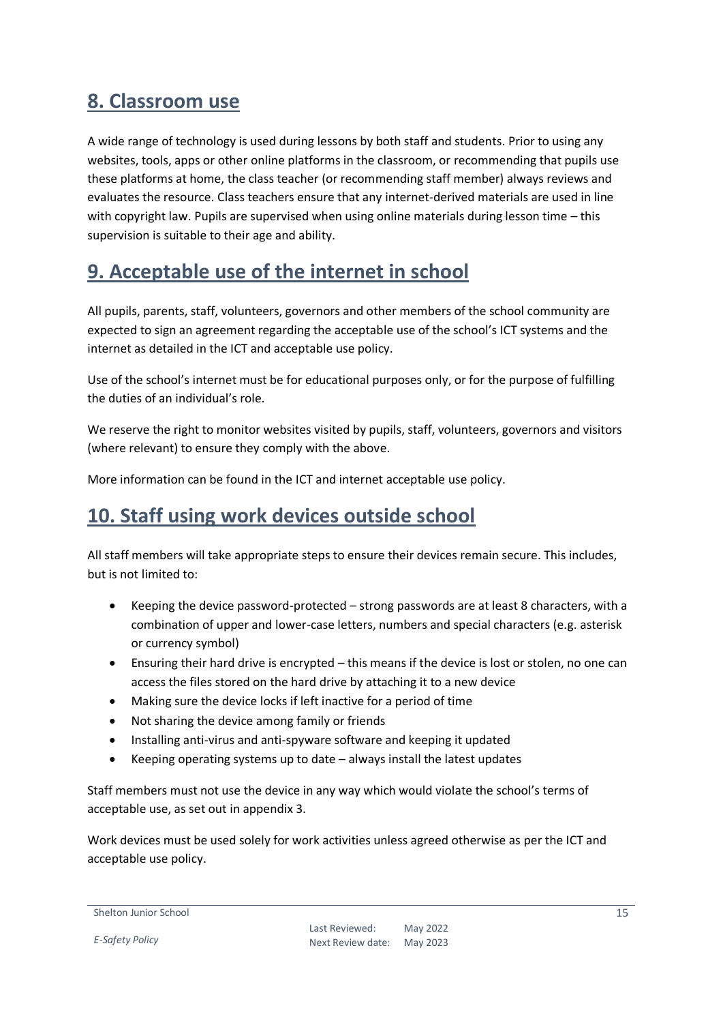## <span id="page-14-0"></span>**8. Classroom use**

A wide range of technology is used during lessons by both staff and students. Prior to using any websites, tools, apps or other online platforms in the classroom, or recommending that pupils use these platforms at home, the class teacher (or recommending staff member) always reviews and evaluates the resource. Class teachers ensure that any internet-derived materials are used in line with copyright law. Pupils are supervised when using online materials during lesson time – this supervision is suitable to their age and ability.

## <span id="page-14-1"></span>**9. Acceptable use of the internet in school**

All pupils, parents, staff, volunteers, governors and other members of the school community are expected to sign an agreement regarding the acceptable use of the school's ICT systems and the internet as detailed in the ICT and acceptable use policy.

Use of the school's internet must be for educational purposes only, or for the purpose of fulfilling the duties of an individual's role.

We reserve the right to monitor websites visited by pupils, staff, volunteers, governors and visitors (where relevant) to ensure they comply with the above.

More information can be found in the ICT and internet acceptable use policy.

## <span id="page-14-2"></span>**10. Staff using work devices outside school**

All staff members will take appropriate steps to ensure their devices remain secure. This includes, but is not limited to:

- Keeping the device password-protected strong passwords are at least 8 characters, with a combination of upper and lower-case letters, numbers and special characters (e.g. asterisk or currency symbol)
- Ensuring their hard drive is encrypted this means if the device is lost or stolen, no one can access the files stored on the hard drive by attaching it to a new device
- Making sure the device locks if left inactive for a period of time
- Not sharing the device among family or friends
- Installing anti-virus and anti-spyware software and keeping it updated
- Keeping operating systems up to date always install the latest updates

Staff members must not use the device in any way which would violate the school's terms of acceptable use, as set out in appendix 3.

Work devices must be used solely for work activities unless agreed otherwise as per the ICT and acceptable use policy.

```
Shelton Junior School
```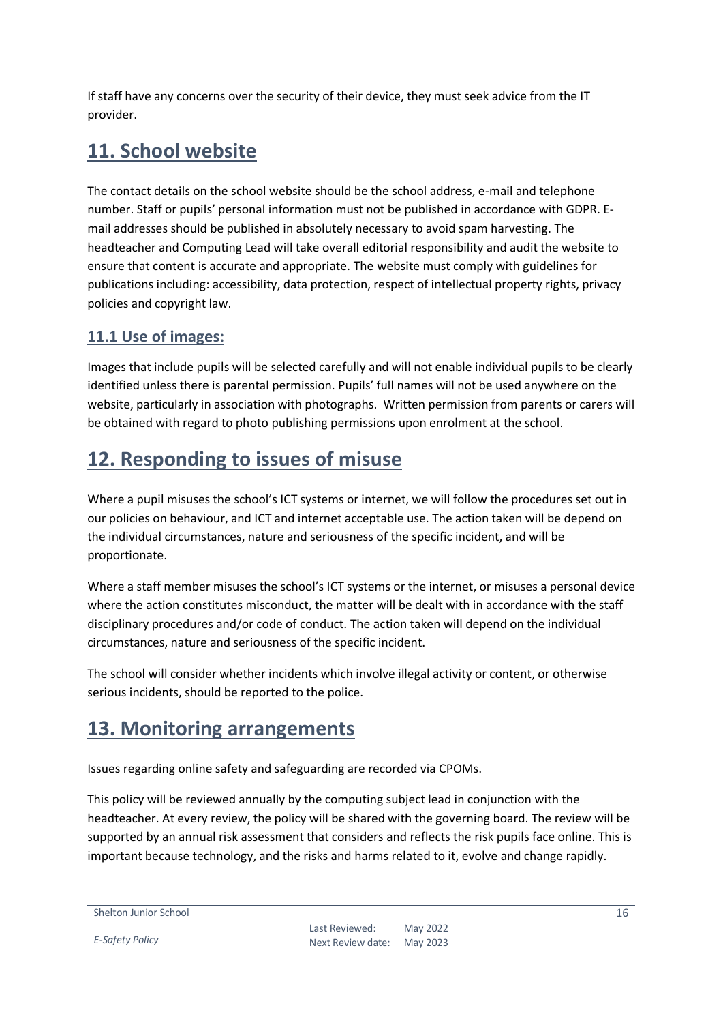If staff have any concerns over the security of their device, they must seek advice from the IT provider.

## <span id="page-15-0"></span>**11. School website**

The contact details on the school website should be the school address, e-mail and telephone number. Staff or pupils' personal information must not be published in accordance with GDPR. Email addresses should be published in absolutely necessary to avoid spam harvesting. The headteacher and Computing Lead will take overall editorial responsibility and audit the website to ensure that content is accurate and appropriate. The website must comply with guidelines for publications including: accessibility, data protection, respect of intellectual property rights, privacy policies and copyright law.

#### <span id="page-15-1"></span>**11.1 Use of images:**

Images that include pupils will be selected carefully and will not enable individual pupils to be clearly identified unless there is parental permission. Pupils' full names will not be used anywhere on the website, particularly in association with photographs. Written permission from parents or carers will be obtained with regard to photo publishing permissions upon enrolment at the school.

## <span id="page-15-2"></span>**12. Responding to issues of misuse**

Where a pupil misuses the school's ICT systems or internet, we will follow the procedures set out in our policies on behaviour, and ICT and internet acceptable use. The action taken will be depend on the individual circumstances, nature and seriousness of the specific incident, and will be proportionate.

Where a staff member misuses the school's ICT systems or the internet, or misuses a personal device where the action constitutes misconduct, the matter will be dealt with in accordance with the staff disciplinary procedures and/or code of conduct. The action taken will depend on the individual circumstances, nature and seriousness of the specific incident.

The school will consider whether incidents which involve illegal activity or content, or otherwise serious incidents, should be reported to the police.

## <span id="page-15-3"></span>**13. Monitoring arrangements**

Issues regarding online safety and safeguarding are recorded via CPOMs.

This policy will be reviewed annually by the computing subject lead in conjunction with the headteacher. At every review, the policy will be shared with the governing board. The review will be supported by an annual risk assessment that considers and reflects the risk pupils face online. This is important because technology, and the risks and harms related to it, evolve and change rapidly.

```
Shelton Junior School
```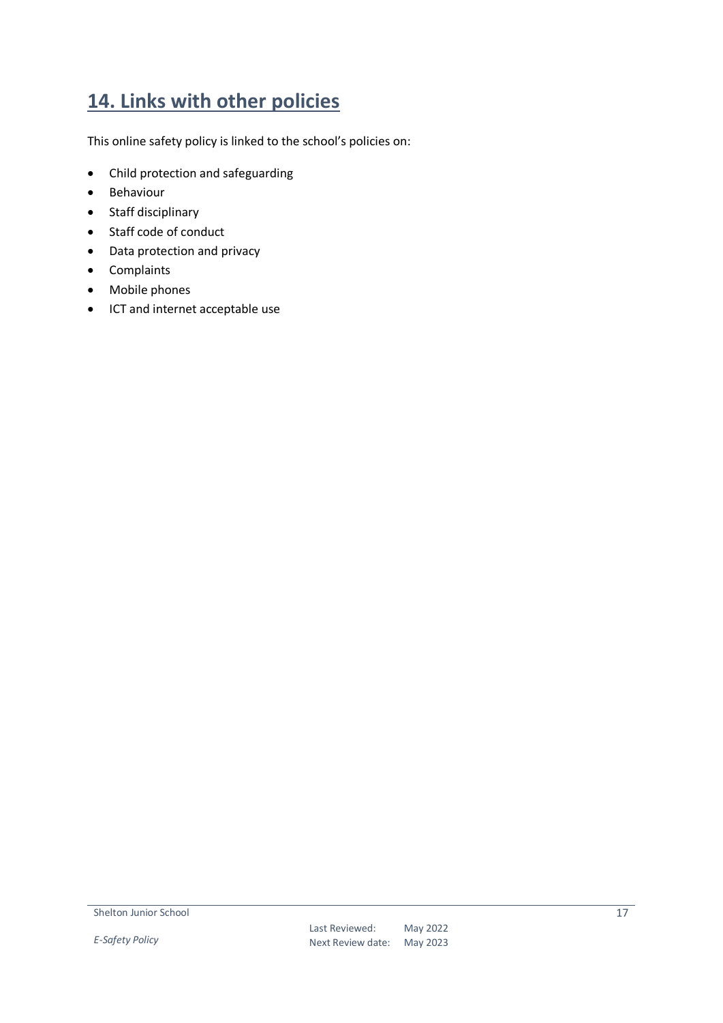## <span id="page-16-0"></span>**14. Links with other policies**

This online safety policy is linked to the school's policies on:

- Child protection and safeguarding
- Behaviour
- Staff disciplinary
- Staff code of conduct
- Data protection and privacy
- Complaints
- Mobile phones
- ICT and internet acceptable use